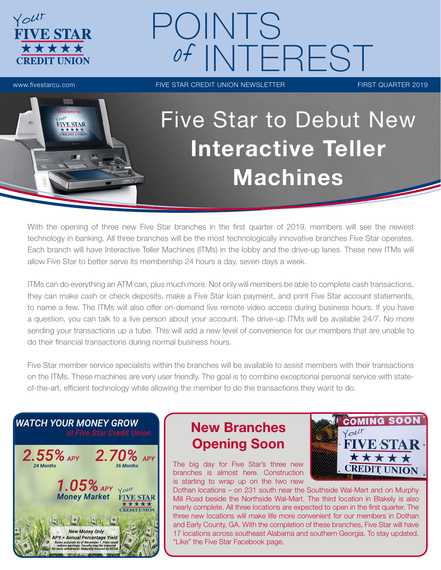

# POINTS NTEREST

www.fivestarcu.com FIVE STAR CREDIT UNION NEWSLETTER FIRST QUARTER 2019



# Five Star to Debut New Interactive Teller Machines

With the opening of three new Five Star branches in the first quarter of 2019, members will see the newest technology in banking. All three branches will be the most technologically innovative branches Five Star operates. Each branch will have Interactive Teller Machines (ITMs) in the lobby and the drive-up lanes. These new ITMs will allow Five Star to better serve its membership 24 hours a day, seven days a week.

ITMs can do everything an ATM can, plus much more. Not only will members be able to complete cash transactions, they can make cash or check deposits, make a Five Star loan payment, and print Five Star account statements, to name a few. The ITMs will also offer on-demand live remote video access during business hours. If you have a question, you can talk to a live person about your account. The drive-up ITMs will be available 24/7. No more sending your transactions up a tube. This will add a new level of convenience for our members that are unable to do their financial transactions during normal business hours.

Five Star member service specialists within the branches will be available to assist members with their transactions on the ITMs. These machines are very user friendly. The goal is to combine exceptional personal service with stateof-the-art, efficient technology while allowing the member to do the transactions they want to do.



# New Branches Opening Soon

The big day for Five Star's three new branches is almost here. Construction is starting to wrap up on the two new



Dothan locations – on 231 south near the Southside Wal-Mart and on Murphy Mill Road beside the Northside Wal-Mart. The third location in Blakely is also nearly complete. All three locations are expected to open in the first quarter. The three new locations will make life more convenient for our members in Dothan and Early County, GA. With the completion of these branches, Five Star will have 17 locations across southeast Alabama and southern Georgia. To stay updated, "Like" the Five Star Facebook page.